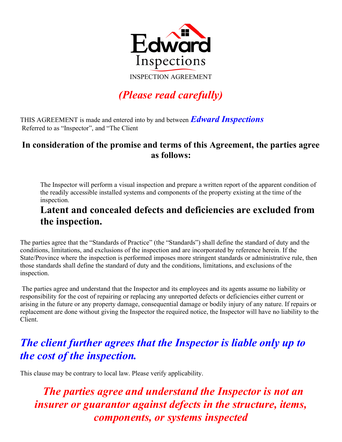

INSPECTION AGREEMENT

# (Please read carefully)

THIS AGREEMENT is made and entered into by and between Edward Inspections Referred to as "Inspector", and "The Client

#### In consideration of the promise and terms of this Agreement, the parties agree as follows:

The Inspector will perform a visual inspection and prepare a written report of the apparent condition of the readily accessible installed systems and components of the property existing at the time of the inspection.

## Latent and concealed defects and deficiencies are excluded from the inspection.

The parties agree that the "Standards of Practice" (the "Standards") shall define the standard of duty and the conditions, limitations, and exclusions of the inspection and are incorporated by reference herein. If the State/Province where the inspection is performed imposes more stringent standards or administrative rule, then those standards shall define the standard of duty and the conditions, limitations, and exclusions of the inspection.

 The parties agree and understand that the Inspector and its employees and its agents assume no liability or responsibility for the cost of repairing or replacing any unreported defects or deficiencies either current or arising in the future or any property damage, consequential damage or bodily injury of any nature. If repairs or replacement are done without giving the Inspector the required notice, the Inspector will have no liability to the Client.

# The client further agrees that the Inspector is liable only up to the cost of the inspection.

This clause may be contrary to local law. Please verify applicability.

# The parties agree and understand the Inspector is not an insurer or guarantor against defects in the structure, items, components, or systems inspected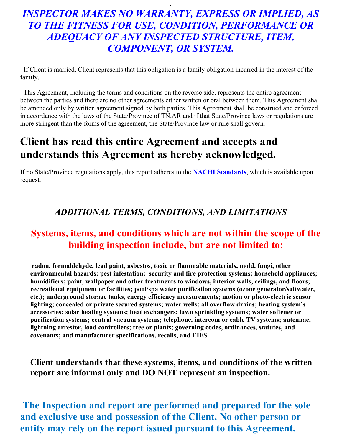## INSPECTOR MAKES NO WARRANTY, EXPRESS OR IMPLIED, AS TO THE FITNESS FOR USE, CONDITION, PERFORMANCE OR ADEQUACY OF ANY INSPECTED STRUCTURE, ITEM, COMPONENT, OR SYSTEM.

.

 If Client is married, Client represents that this obligation is a family obligation incurred in the interest of the family.

 This Agreement, including the terms and conditions on the reverse side, represents the entire agreement between the parties and there are no other agreements either written or oral between them. This Agreement shall be amended only by written agreement signed by both parties. This Agreement shall be construed and enforced in accordance with the laws of the State/Province of TN,AR and if that State/Province laws or regulations are more stringent than the forms of the agreement, the State/Province law or rule shall govern.

# Client has read this entire Agreement and accepts and understands this Agreement as hereby acknowledged.

If no State/Province regulations apply, this report adheres to the **NACHI Standards**, which is available upon request.

#### ADDITIONAL TERMS, CONDITIONS, AND LIMITATIONS

#### Systems, items, and conditions which are not within the scope of the building inspection include, but are not limited to:

radon, formaldehyde, lead paint, asbestos, toxic or flammable materials, mold, fungi, other environmental hazards; pest infestation; security and fire protection systems; household appliances; humidifiers; paint, wallpaper and other treatments to windows, interior walls, ceilings, and floors; recreational equipment or facilities; pool/spa water purification systems (ozone generator/saltwater, etc.); underground storage tanks, energy efficiency measurements; motion or photo-electric sensor lighting; concealed or private secured systems; water wells; all overflow drains; heating system's accessories; solar heating systems; heat exchangers; lawn sprinkling systems; water softener or purification systems; central vacuum systems; telephone, intercom or cable TV systems; antennae, lightning arrestor, load controllers; tree or plants; governing codes, ordinances, statutes, and covenants; and manufacturer specifications, recalls, and EIFS.

#### Client understands that these systems, items, and conditions of the written report are informal only and DO NOT represent an inspection.

 The Inspection and report are performed and prepared for the sole and exclusive use and possession of the Client. No other person or entity may rely on the report issued pursuant to this Agreement.